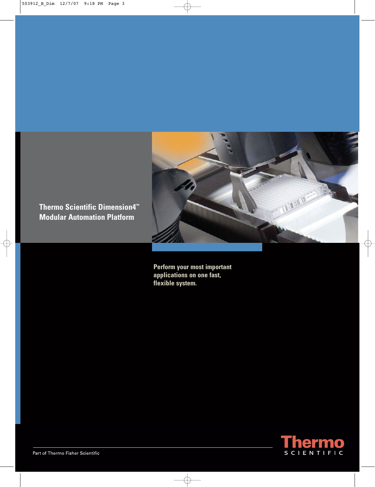

**Thermo Scientific Dimension4™ Modular Automation Platform**

> **Perform your most important applications on one fast, flexible system.**

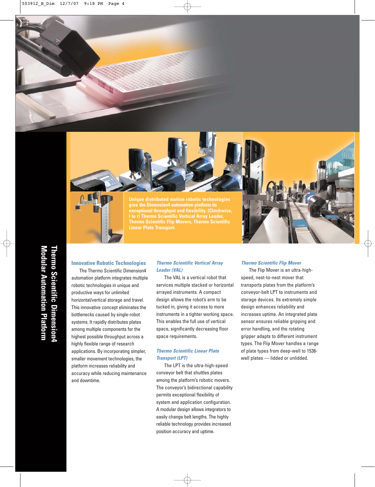

**Unique distributed motion robotic technologies give the Dimension4 automation platform its exceptional throughput and flexibility. (Clockwise, l to r) Thermo Scientific Vertical Array Loader, Thermo Scientific Flip Movers, Thermo Scientific Linear Plate Transport.**



## **Innovative Robotic Technologies**

The Thermo Scientific Dimension4 automation platform integrates multiple robotic technologies in unique and productive ways for unlimited horizontal/vertical storage and travel. This innovative concept eliminates the bottlenecks caused by single-robot systems. It rapidly distributes plates among multiple components for the highest possible throughput across a highly flexible range of research applications. By incorporating simpler, smaller movement technologies, the platform increases reliability and accuracy while reducing maintenance and downtime.

## **Thermo Scientific Vertical Array Loader (VAL)**

The VAL is a vertical robot that services multiple stacked or horizontal arrayed instruments. A compact design allows the robot's arm to be tucked in, giving it access to more instruments in a tighter working space. This enables the full use of vertical space, significantly decreasing floor space requirements.

# **Thermo Scientific Linear Plate Transport (LPT)**

The LPT is the ultra-high-speed conveyor belt that shuttles plates among the platform's robotic movers. The conveyor's bidirectional capability permits exceptional flexibility of system and application configuration. A modular design allows integrators to easily change belt lengths. The highly reliable technology provides increased position accuracy and uptime.

### **Thermo Scientific Flip Mover**

The Flip Mover is an ultra-highspeed, nest-to-nest mover that transports plates from the platform's conveyor-belt LPT to instruments and storage devices. Its extremely simple design enhances reliability and increases uptime. An integrated plate sensor ensures reliable gripping and error handling, and the rotating gripper adapts to different instrument types. The Flip Mover handles a range of plate types from deep-well to 1536 well plates — lidded or unlidded.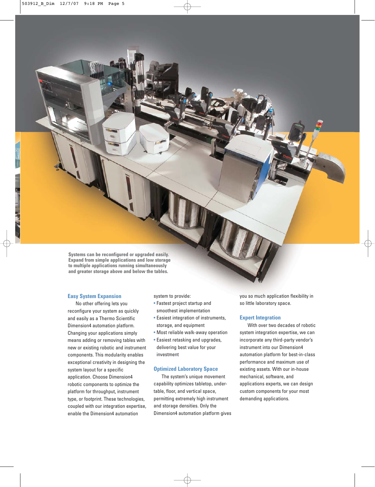**Systems can be reconfigured or upgraded easily. Expand from simple applications and low storage to multiple applications running simultaneously and greater storage above and below the tables.**

### **Easy System Expansion**

No other offering lets you reconfigure your system as quickly and easily as a Thermo Scientific Dimension4 automation platform. Changing your applications simply means adding or removing tables with new or existing robotic and instrument components. This modularity enables exceptional creativity in designing the system layout for a specific application. Choose Dimension4 robotic components to optimize the platform for throughput, instrument type, or footprint. These technologies, coupled with our integration expertise, enable the Dimension4 automation

system to provide:

- Fastest project startup and smoothest implementation
- Easiest integration of instruments, storage, and equipment
- Most reliable walk-away operation
- Easiest retasking and upgrades, delivering best value for your investment

### **Optimized Laboratory Space**

The system's unique movement capability optimizes tabletop, undertable, floor, and vertical space, permitting extremely high instrument and storage densities. Only the Dimension4 automation platform gives you so much application flexibility in so little laboratory space.

### **Expert Integration**

With over two decades of robotic system integration expertise, we can incorporate any third-party vendor's instrument into our Dimension4 automation platform for best-in-class performance and maximum use of existing assets. With our in-house mechanical, software, and applications experts, we can design custom components for your most demanding applications.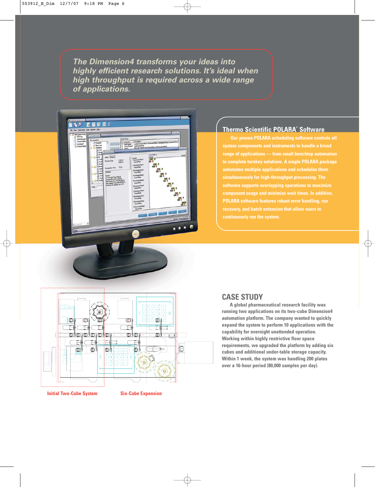**The Dimension4 transforms your ideas into highly efficient research solutions. It's ideal when high throughput is required across a wide range of applications.**



# **Thermo Scientific POLARA® Software**

**Our proven POLARA scheduling software controls all system components and instruments to handle a broad range of applications — from small benchtop automation to complete turnkey solutions. A single POLARA package automates multiple applications and schedules them simultaneously for high-throughput processing. The software supports overlapping operations to maximize component usage and minimize wait times. In addition, POLARA software features robust error handling, run recovery, and batch extension that allow users to continuously run the system.**



### **Initial Two-Cube System Six-Cube Expansion**

# **CASE STUDY**

**A global pharmaceutical research facility was running two applications on its two-cube Dimension4 automation platform. The company wanted to quickly expand the system to perform 10 applications with the capability for overnight unattended operation. Working within highly restrictive floor space requirements, we upgraded the platform by adding six cubes and additional under-table storage capacity. Within 1 week, the system was handling 200 plates over a 16-hour period (80,000 samples per day).**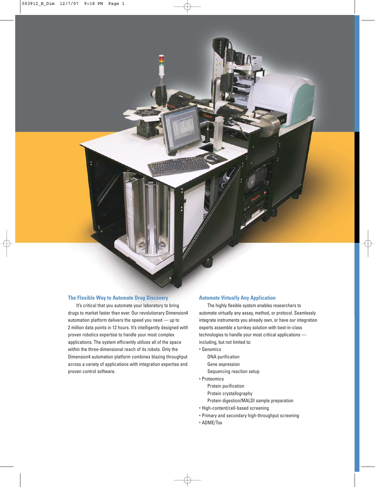### **The Flexible Way to Automate Drug Discovery**

It's critical that you automate your laboratory to bring drugs to market faster than ever. Our revolutionary Dimension4 automation platform delivers the speed you need — up to 2 million data points in 12 hours. It's intelligently designed with proven robotics expertise to handle your most complex applications. The system efficiently utilizes all of the space within the three-dimensional reach of its robots. Only the Dimension4 automation platform combines blazing throughput across a variety of applications with integration expertise and proven control software.

### **Automate Virtually Any Application**

The highly flexible system enables researchers to automate virtually any assay, method, or protocol. Seamlessly integrate instruments you already own, or have our integration experts assemble a turnkey solution with best-in-class technologies to handle your most critical applications including, but not limited to:

- Genomics
	- DNA purification Gene expression
	- Sequencing reaction setup
- Proteomics
	- Protein purification
	- Protein crystallography
	- Protein digestion/MALDI sample preparation
- High-content/cell-based screening
- Primary and secondary high-throughput screening
- ADME/Tox